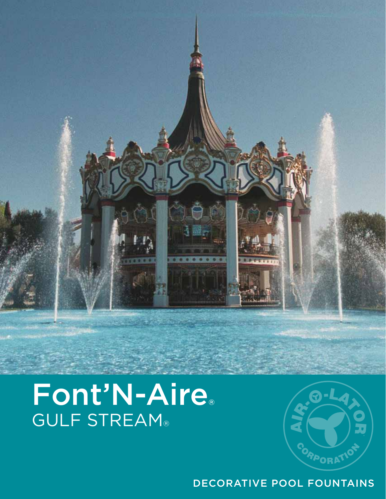

# Font'N-Aire® GULF STREAM®



### DECORATIVE POOL FOUNTAINS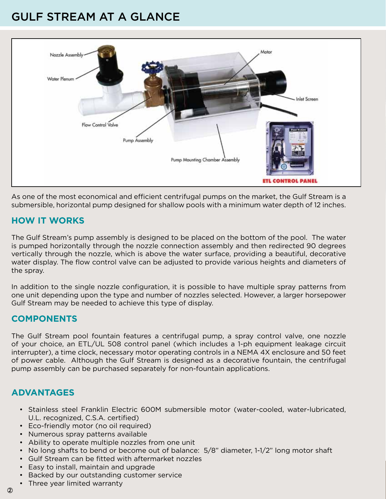### GULF STREAM AT A GLANCE



As one of the most economical and efficient centrifugal pumps on the market, the Gulf Stream is a submersible, horizontal pump designed for shallow pools with a minimum water depth of 12 inches.

#### **HOW IT WORKS**

The Gulf Stream's pump assembly is designed to be placed on the bottom of the pool. The water is pumped horizontally through the nozzle connection assembly and then redirected 90 degrees vertically through the nozzle, which is above the water surface, providing a beautiful, decorative water display. The flow control valve can be adjusted to provide various heights and diameters of the spray.

In addition to the single nozzle configuration, it is possible to have multiple spray patterns from one unit depending upon the type and number of nozzles selected. However, a larger horsepower Gulf Stream may be needed to achieve this type of display.

#### **COMPONENTS**

The Gulf Stream pool fountain features a centrifugal pump, a spray control valve, one nozzle of your choice, an ETL/UL 508 control panel (which includes a 1-ph equipment leakage circuit interrupter), a time clock, necessary motor operating controls in a NEMA 4X enclosure and 50 feet of power cable. Although the Gulf Stream is designed as a decorative fountain, the centrifugal pump assembly can be purchased separately for non-fountain applications.

### **ADVANTAGES**

- Stainless steel Franklin Electric 600M submersible motor (water-cooled, water-lubricated, U.L. recognized, C.S.A. certified)
- Eco-friendly motor (no oil required)
- Numerous spray patterns available
- Ability to operate multiple nozzles from one unit
- No long shafts to bend or become out of balance: 5/8" diameter, 1-1/2" long motor shaft
- Gulf Stream can be fitted with aftermarket nozzles
- Easy to install, maintain and upgrade
- Backed by our outstanding customer service
- Three year limited warranty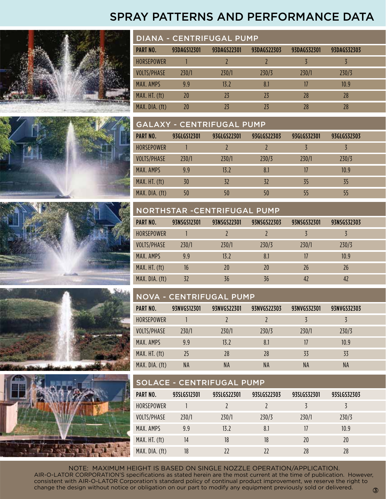### SPRAY PATTERNS AND PERFORMANCE DATA











| DIANA - CENTRIFUGAL PUMP |             |             |             |             |             |  |
|--------------------------|-------------|-------------|-------------|-------------|-------------|--|
| <b>PART NO.</b>          | 93DAGS12301 | 93DAGS22301 | 93DAGS22303 | 93DAGS32301 | 93DAGS32303 |  |
| <b>HORSEPOWER</b>        |             |             |             |             |             |  |
| <b>VOLTS/PHASE</b>       | 230/1       | 230/1       | 230/3       | 230/1       | 230/3       |  |
| MAX. AMPS                | 9.9         | 13.27       | 8.1         |             | 10.9        |  |
| MAX. HT. (ft)            | 20          | 73          | 23          | 28          | 28          |  |
| MAX. DIA. (ft)           |             |             |             | 28          |             |  |

#### GALAXY - CENTRIFUGAL PUMP

| PART NO.                 | 93GLGS12301 | 93GLGS22301 | 93GLGS22303 | 93GLGS32301 | 93GLGS32303 |  |
|--------------------------|-------------|-------------|-------------|-------------|-------------|--|
| <b>HORSEPOWER</b>        |             |             |             |             |             |  |
| <b>VOLTS/PHASE</b>       | 230/1       | 230/1       | 230/3       | 230/1       | 230/3       |  |
| MAX. AMPS                | 9.9         | 13.2        | 8.1         |             | 10.9        |  |
| MAX. H <sub>I</sub> (ft) | 30          | 32          | 32          | 35          | 35          |  |
| MAX. DIA. (ft)           | 50          | 50          | 50          | 55          | 55          |  |

#### NORTHSTAR -CENTRIFUGAL PUMP

| <b>PART NO.</b>    | 93NSGS12301 | 93NSGS22301 | 93NSGS22303 | 93NSGS32301 | 93NSGS32303 |  |
|--------------------|-------------|-------------|-------------|-------------|-------------|--|
| <b>HORSEPOWER</b>  |             |             |             |             |             |  |
| <b>VOLTS/PHASE</b> | 230/1       | 230/1       | 230/3       | 230/1       | 230/3       |  |
| MAX. AMPS          | 9.9         | 13.2        | 8.1         | 17          | 10.9        |  |
| MAX. HT. (ft)      | 16          | 20          | 20          | 26          | 26          |  |
| MAX. DIA. (ft)     | 32          | 36          | 36          | 42          | 42          |  |

#### NOVA - CENTRIFUGAL PUMP

| PART NO.                 | 93NVGS12301 | 93NVGS22301 | 93NVGS22303 | 93NVGS32301 | 93NVGS32303 |  |
|--------------------------|-------------|-------------|-------------|-------------|-------------|--|
| HORSEPOWER               |             |             |             |             |             |  |
| VOLTS/PHASE              | 230/1       | 230/1       | 230/3       | 230/1       | 230/3       |  |
| MAX. AMPS                | 9.9         | 13.2        | 8.1         |             | 10.9        |  |
| MAX. H <sub>I</sub> (ft) | 25          | 28          | 28          | 33          | 33          |  |
| MAX. DIA. (ft)           | NA          | <b>NA</b>   | <b>NA</b>   | <b>NA</b>   | NA          |  |

#### SOLACE - CENTRIFUGAL PUMP

| PART NO.          | 93SLGS12301 | 93SLGS22301 | 93SLGS22303 | 93SLGS32301 | 93SLGS32303 |  |
|-------------------|-------------|-------------|-------------|-------------|-------------|--|
| <b>HORSEPOWER</b> |             |             |             |             |             |  |
| VOLTS/PHASE       | 230/1       | 230/1       | 230/3       | 230/1       | 230/3       |  |
| MAX. AMPS         | 9.9         | 13.2        | 8.1         |             | 10.9        |  |
| MAX. HT. (ft)     | 14          | 18          | 18          | 20          | 20          |  |
| MAX. DIA. (ft)    | 18          | 77          | 77          | 28          | 28          |  |

NOTE: MAXIMUM HEIGHT IS BASED ON SINGLE NOZZLE OPERATION/APPLICATION. AIR-O-LATOR CORPORATION'S specifications as stated herein are the most current at the time of publication. However, consistent with AIR-O-LATOR Corporation's standard policy of continual product improvement, we reserve the right to change the design without notice or obligation on our part to modify any equipment previously sold or delivered.